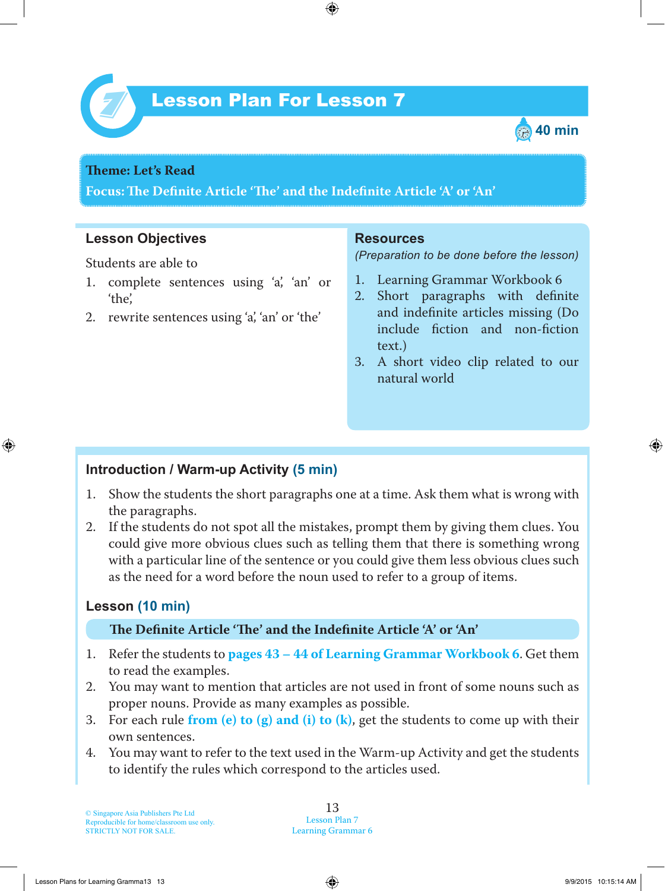



#### **Teme : Let's Read**

**Focus: Te Definite Article 'Te' and the Indefinite Article 'A' or 'An'**

## **Lesson Objectives**

Students are able to

- 1 . complete sentences using 'a', 'an' or 'the',
- 2. rewrite sentences using 'a', 'an' or 'the'

#### **Resources**

*(Preparation to be done before the lesson)*

- 1. Learning Grammar Workbook 6
- 2. Short paragraphs with definite and indefinite articles missing (Do include fiction and non-fiction text.)
- 3. A short video clip related to our natural world

## **Introduction / Warm-up Activity (5 min)**

- 1 . Show the students the short paragraphs one at a time. Ask them what is wrong with the paragraphs.
- 2. If the students do not spot all the mistakes, prompt them by giving them clues. You could give more obvious clues such as telling them that there is something wrong with a particular line of the sentence or you could give them less obvious clues such as the need for a word before the noun used to refer to a group of items.

# **Lesson (10 min)**

#### **Te Definite Article 'Te' and the Indefinite Article 'A' or 'An'**

- 1 . Refer the students to **pages 43 – 44 of Learning Grammar Workbook 6** . Get them to read the examples.
- 2. You may want to mention that articles are not used in front of some nouns such as proper nouns. Provide as many examples as possible.
- 3. For each rule **from (e) to (g) and (i) to (k)**, get the students to come up with their own sentences.
- 4. You may want to refer to the text used in the Warm-up Activity and get the students to identify the rules which correspond to the articles used.